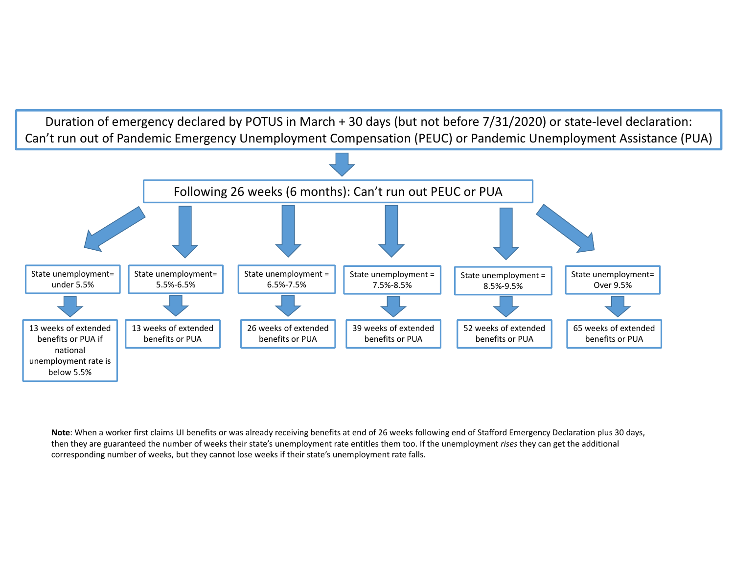Duration of emergency declared by POTUS in March + 30 days (but not before 7/31/2020) or state‐level declaration: Can't run out of Pandemic Emergency Unemployment Compensation (PEUC) or Pandemic Unemployment Assistance (PUA)



**Note**: When a worker first claims UI benefits or was already receiving benefits at end of 26 weeks following end of Stafford Emergency Declaration plus 30 days, then they are guaranteed the number of weeks their state's unemployment rate entitles them too. If the unemployment *rises* they can get the additional corresponding number of weeks, but they cannot lose weeks if their state's unemployment rate falls.